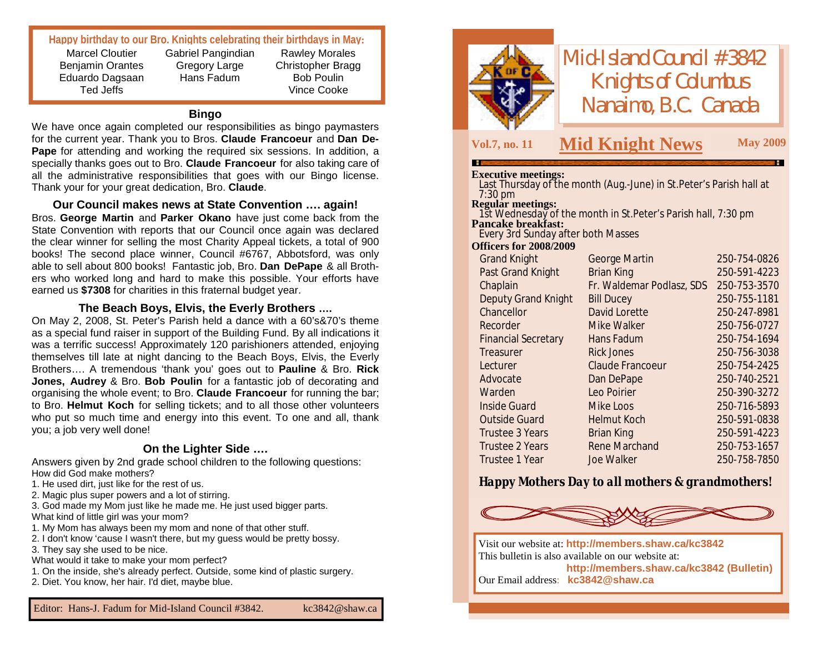#### **Happy birthday to our Bro. Knights celebrating their birthdays in May:**

Marcel Cloutier Benjamin Orantes Eduardo Dagsaan Ted Jeffs

Gabriel Pangindian Gregory Large Hans Fadum

Rawley Morales Christopher Bragg Bob Poulin Vince Cooke

#### **Bingo**

We have once again completed our responsibilities as bingo paymasters for the current year. Thank you to Bros. **Claude Francoeur** and **Dan De-Pape** for attending and working the required six sessions. In addition, a specially thanks goes out to Bro. **Claude Francoeur** for also taking care of all the administrative responsibilities that goes with our Bingo license. Thank your for your great dedication, Bro. **Claude**.

**Our Council makes news at State Convention …. again!** Bros. **George Martin** and **Parker Okano** have just come back from the State Convention with reports that our Council once again was declared the clear winner for selling the most Charity Appeal tickets, a total of 900 books! The second place winner, Council #6767, Abbotsford, was only able to sell about 800 books! Fantastic job, Bro. **Dan DePape** & all Brothers who worked long and hard to make this possible. Your efforts have earned us **\$7308** for charities in this fraternal budget year.

#### **The Beach Boys, Elvis, the Everly Brothers ….**

On May 2, 2008, St. Peter's Parish held a dance with a 60's&70's theme as a special fund raiser in support of the Building Fund. By all indications it was a terrific success! Approximately 120 parishioners attended, enjoying themselves till late at night dancing to the Beach Boys, Elvis, the Everly Brothers…. A tremendous 'thank you' goes out to **Pauline** & Bro. **Rick Jones, Audrey** & Bro. **Bob Poulin** for a fantastic job of decorating and organising the whole event; to Bro. **Claude Francoeur** for running the bar; to Bro. **Helmut Koch** for selling tickets; and to all those other volunteers who put so much time and energy into this event. To one and all, thank you; a job very well done!

#### **On the Lighter Side ….**

Answers given by 2nd grade school children to the following questions: How did God make mothers?

- 1. He used dirt, just like for the rest of us.
- 2. Magic plus super powers and a lot of stirring.

3. God made my Mom just like he made me. He just used bigger parts. What kind of little girl was your mom?

1. My Mom has always been my mom and none of that other stuff.

2. I don't know 'cause I wasn't there, but my guess would be pretty bossy.

3. They say she used to be nice.

What would it take to make your mom perfect?

- 1. On the inside, she's already perfect. Outside, some kind of plastic surgery.
- 2. Diet. You know, her hair. I'd diet, maybe blue.



*Mid-Island Council #3842 Knights of Columbus Nanaimo, B.C. Canada*

## **Vol.7, no. <sup>11</sup> M May <sup>2009</sup> id Knight News**

#### **Executive meetings:**

Last Thursday of the month (Aug.-June) in St.Peter's Parish hall at 7:30 pm

**Regular meetings:**

1st Wednesday of the month in St.Peter's Parish hall, 7:30 pm **Pancake breakfast:**

Every 3rd Sunday after both Masses

#### **Officers for 2008/2009**

| <b>Grand Knight</b>        | <b>George Martin</b>      | 250-754-0826 |
|----------------------------|---------------------------|--------------|
| Past Grand Knight          | <b>Brian King</b>         | 250-591-4223 |
| Chaplain                   | Fr. Waldemar Podlasz, SDS | 250-753-3570 |
| Deputy Grand Knight        | <b>Bill Ducey</b>         | 250-755-1181 |
| Chancellor                 | David Lorette             | 250-247-8981 |
| Recorder                   | Mike Walker               | 250-756-0727 |
| <b>Financial Secretary</b> | Hans Fadum                | 250-754-1694 |
| Treasurer                  | <b>Rick Jones</b>         | 250-756-3038 |
| Lecturer                   | Claude Francoeur          | 250-754-2425 |
| Advocate                   | Dan DePape                | 250-740-2521 |
| Warden                     | Leo Poirier               | 250-390-3272 |
| <b>Inside Guard</b>        | Mike Loos                 | 250-716-5893 |
| <b>Outside Guard</b>       | <b>Helmut Koch</b>        | 250-591-0838 |
| Trustee 3 Years            | <b>Brian King</b>         | 250-591-4223 |
| <b>Trustee 2 Years</b>     | <b>Rene Marchand</b>      | 250-753-1657 |
| Trustee 1 Year             | Joe Walker                | 250-758-7850 |

*Happy Mothers Day to all mothers & grandmothers!*



Visit our website at: **<http://members.shaw.ca/kc3842>** This bulletin is also available on our website at: **<http://members.shaw.ca/kc3842> (Bulletin)** Our Email address: **[kc3842@shaw.ca](mailto:kc3842@shaw.ca)**